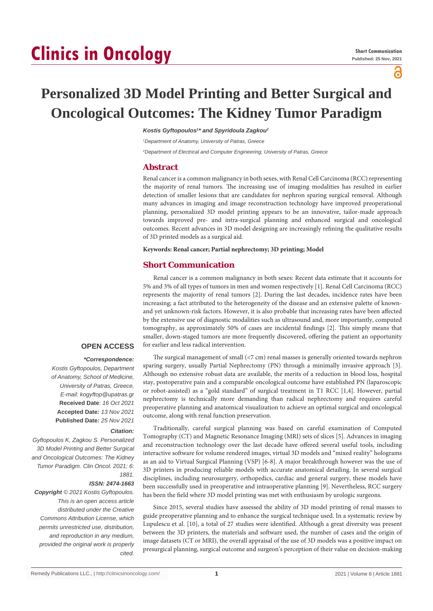# **Clinics in Oncology**

പ്പ

# **Personalized 3D Model Printing and Better Surgical and Oncological Outcomes: The Kidney Tumor Paradigm**

*Kostis Gyftopoulos1 \* and Spyridoula Zagkou2*

*1 Department of Anatomy, University of Patras, Greece*

*2 Department of Electrical and Computer Engineering, University of Patras, Greece*

#### **Abstract**

Renal cancer is a common malignancy in both sexes, with Renal Cell Carcinoma (RCC) representing the majority of renal tumors. The increasing use of imaging modalities has resulted in earlier detection of smaller lesions that are candidates for nephron sparing surgical removal. Although many advances in imaging and image reconstruction technology have improved preoperational planning, personalized 3D model printing appears to be an innovative, tailor-made approach towards improved pre- and intra-surgical planning and enhanced surgical and oncological outcomes. Recent advances in 3D model designing are increasingly refining the qualitative results of 3D printed models as a surgical aid.

**Keywords: Renal cancer; Partial nephrectomy; 3D printing; Model**

# **Short Communication**

Renal cancer is a common malignancy in both sexes: Recent data estimate that it accounts for 5% and 3% of all types of tumors in men and women respectively [1]. Renal Cell Carcinoma (RCC) represents the majority of renal tumors [2]. During the last decades, incidence rates have been increasing; a fact attributed to the heterogeneity of the disease and an extensive palette of knownand yet unknown-risk factors. However, it is also probable that increasing rates have been affected by the extensive use of diagnostic modalities such as ultrasound and, more importantly, computed tomography, as approximately 50% of cases are incidental findings [2]. This simply means that smaller, down-staged tumors are more frequently discovered, offering the patient an opportunity for earlier and less radical intervention.

#### **OPEN ACCESS**

## *\*Correspondence:*

*Kostis Gyftopoulos, Department of Anatomy, School of Medicine, University of Patras, Greece, E-mail: kogyftop@upatras.gr* **Received Date**: *16 Oct 2021* **Accepted Date***: 13 Nov 2021* **Published Date***: 25 Nov 2021*

#### *Citation:*

*Gyftopoulos K, Zagkou S. Personalized 3D Model Printing and Better Surgical and Oncological Outcomes: The Kidney Tumor Paradigm. Clin Oncol. 2021; 6: 1881.*

#### *ISSN: 2474-1663*

*Copyright © 2021 Kostis Gyftopoulos. This is an open access article distributed under the Creative Commons Attribution License, which permits unrestricted use, distribution, and reproduction in any medium, provided the original work is properly cited.*

The surgical management of small (<7 cm) renal masses is generally oriented towards nephron sparing surgery, usually Partial Nephrectomy (PN) through a minimally invasive approach [3]. Although no extensive robust data are available, the merits of a reduction in blood loss, hospital stay, postoperative pain and a comparable oncological outcome have established PN (laparoscopic or robot-assisted) as a "gold standard" of surgical treatment in T1 RCC [1,4]. However, partial nephrectomy is technically more demanding than radical nephrectomy and requires careful preoperative planning and anatomical visualization to achieve an optimal surgical and oncological outcome, along with renal function preservation.

Traditionally, careful surgical planning was based on careful examination of Computed Tomography (CT) and Magnetic Resonance Imaging (MRI) sets of slices [5]. Advances in imaging and reconstruction technology over the last decade have offered several useful tools, including interactive software for volume rendered images, virtual 3D models and "mixed reality" holograms as an aid to Virtual Surgical Planning (VSP) [6-8]. A major breakthrough however was the use of 3D printers in producing reliable models with accurate anatomical detailing. In several surgical disciplines, including neurosurgery, orthopedics, cardiac and general surgery, these models have been successfully used in preoperative and intraoperative planning [9]. Nevertheless, RCC surgery has been the field where 3D model printing was met with enthusiasm by urologic surgeons.

Since 2015, several studies have assessed the ability of 3D model printing of renal masses to guide preoperative planning and to enhance the surgical technique used. In a systematic review by Lupulescu et al. [10], a total of 27 studies were identified. Although a great diversity was present between the 3D printers, the materials and software used, the number of cases and the origin of image datasets (CT or MRI), the overall appraisal of the use of 3D models was a positive impact on presurgical planning, surgical outcome and surgeon's perception of their value on decision-making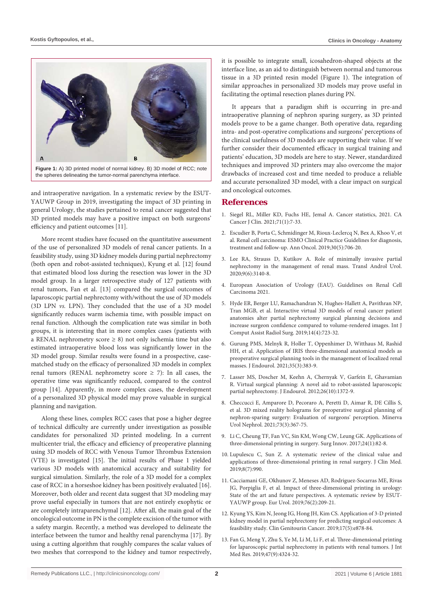

and intraoperative navigation. In a systematic review by the ESUT-YAUWP Group in 2019, investigating the impact of 3D printing in general Urology, the studies pertained to renal cancer suggested that 3D printed models may have a positive impact on both surgeons' efficiency and patient outcomes [11].

More recent studies have focused on the quantitative assessment of the use of personalized 3D models of renal cancer patients. In a feasibility study, using 3D kidney models during partial nephrectomy (both open and robot-assisted techniques), Kyung et al. [12] found that estimated blood loss during the resection was lower in the 3D model group. In a larger retrospective study of 127 patients with renal tumors, Fan et al. [13] compared the surgical outcomes of laparoscopic partial nephrectomy with/without the use of 3D models (3D LPN *vs.* LPN). They concluded that the use of a 3D model significantly reduces warm ischemia time, with possible impact on renal function. Although the complication rate was similar in both groups, it is interesting that in more complex cases (patients with a RENAL nephrometry score  $\geq 8$ ) not only ischemia time but also estimated intraoperative blood loss was significantly lower in the 3D model group. Similar results were found in a prospective, casematched study on the efficacy of personalized 3D models in complex renal tumors (RENAL nephrometry score  $\geq$  7): In all cases, the operative time was significantly reduced, compared to the control group [14]. Apparently, in more complex cases, the development of a personalized 3D physical model may prove valuable in surgical planning and navigation.

Along these lines, complex RCC cases that pose a higher degree of technical difficulty are currently under investigation as possible candidates for personalized 3D printed modeling. In a current multicenter trial, the efficacy and efficiency of preoperative planning using 3D models of RCC with Venous Tumor Thrombus Extension (VTE) is investigated [15]. The initial results of Phase 1 yielded various 3D models with anatomical accuracy and suitability for surgical simulation. Similarly, the role of a 3D model for a complex case of RCC in a horseshoe kidney has been positively evaluated [16]. Moreover, both older and recent data suggest that 3D modeling may prove useful especially in tumors that are not entirely exophytic or are completely intraparenchymal [12]. After all, the main goal of the oncological outcome in PN is the complete excision of the tumor with a safety margin. Recently, a method was developed to delineate the interface between the tumor and healthy renal parenchyma [17]. By using a cutting algorithm that roughly compares the scalar values of two meshes that correspond to the kidney and tumor respectively,

it is possible to integrate small, icosahedron-shaped objects at the interface line, as an aid to distinguish between normal and tumorous tissue in a 3D printed resin model (Figure 1). The integration of similar approaches in personalized 3D models may prove useful in facilitating the optimal resection planes during PN.

It appears that a paradigm shift is occurring in pre-and intraoperative planning of nephron sparing surgery, as 3D printed models prove to be a game changer. Both operative data, regarding intra- and post-operative complications and surgeons' perceptions of the clinical usefulness of 3D models are supporting their value. If we further consider their documented efficacy in surgical training and patients' education, 3D models are here to stay. Newer, standardized techniques and improved 3D printers may also overcome the major drawbacks of increased cost and time needed to produce a reliable and accurate personalized 3D model, with a clear impact on surgical and oncological outcomes.

### **References**

- 1. [Siegel RL, Miller KD, Fuchs HE, Jemal A. Cancer statistics, 2021. CA](https://pubmed.ncbi.nlm.nih.gov/33433946/)  [Cancer J Clin. 2021;71\(1\):7-33.](https://pubmed.ncbi.nlm.nih.gov/33433946/)
- 2. [Escudier B, Porta C, Schmidinger M, Rioux-Leclercq N, Bex A, Khoo V, et](https://pubmed.ncbi.nlm.nih.gov/30788497/)  [al. Renal cell carcinoma: ESMO Clinical Practice Guidelines for diagnosis,](https://pubmed.ncbi.nlm.nih.gov/30788497/)  [treatment and follow-up. Ann Oncol. 2019;30\(5\):706-20.](https://pubmed.ncbi.nlm.nih.gov/30788497/)
- 3. [Lee RA, Strauss D, Kutikov A. Role of minimally invasive partial](https://pubmed.ncbi.nlm.nih.gov/33457286/)  [nephrectomy in the management of renal mass. Transl Androl Urol.](https://pubmed.ncbi.nlm.nih.gov/33457286/)   $2020;9(6):3140-8.$
- 4. [European Association of Urology \(EAU\). Guidelines on Renal Cell](https://uroweb.org/guideline/renal-cell-carcinoma/)  [Carcinoma 2021.](https://uroweb.org/guideline/renal-cell-carcinoma/)
- 5. [Hyde ER, Berger LU, Ramachandran N, Hughes-Hallett A, Pavithran NP,](https://pubmed.ncbi.nlm.nih.gov/30680601/)  [Tran MGB, et al. Interactive virtual 3D models of renal cancer patient](https://pubmed.ncbi.nlm.nih.gov/30680601/)  [anatomies alter partial nephrectomy surgical planning decisions and](https://pubmed.ncbi.nlm.nih.gov/30680601/)  [increase surgeon confidence compared to volume-rendered images. Int J](https://pubmed.ncbi.nlm.nih.gov/30680601/)  [Comput Assist Radiol Surg. 2019;14\(4\):723-32.](https://pubmed.ncbi.nlm.nih.gov/30680601/)
- 6. [Gurung PMS, Melnyk R, Holler T, Oppenhimer D, Witthaus M, Rashid](https://pubmed.ncbi.nlm.nih.gov/33451273/)  [HH, et al. Application of IRIS three-dimensional anatomical models as](https://pubmed.ncbi.nlm.nih.gov/33451273/)  [preoperative surgical planning tools in the management of localized renal](https://pubmed.ncbi.nlm.nih.gov/33451273/)  [masses. J Endourol. 2021;35\(3\):383-9.](https://pubmed.ncbi.nlm.nih.gov/33451273/)
- 7. [Lasser MS, Doscher M, Keehn A, Chernyak V, Garfein E, Ghavamian](https://pubmed.ncbi.nlm.nih.gov/22642371/)  [R. Virtual surgical planning: A novel aid to robot-assisted laparoscopic](https://pubmed.ncbi.nlm.nih.gov/22642371/)  [partial nephrectomy. J Endourol. 2012;26\(10\):1372-9.](https://pubmed.ncbi.nlm.nih.gov/22642371/)
- 8. [Checcucci E, Amparore D, Pecoraro A, Peretti D, Aimar R, DE Cillis S,](https://pubmed.ncbi.nlm.nih.gov/31486325/)  [et al. 3D mixed reality holograms for preoperative surgical planning of](https://pubmed.ncbi.nlm.nih.gov/31486325/)  [nephron-sparing surgery: Evaluation of surgeons' perception. Minerva](https://pubmed.ncbi.nlm.nih.gov/31486325/)  [Urol Nephrol. 2021;73\(3\):367-75.](https://pubmed.ncbi.nlm.nih.gov/31486325/)
- 9. [Li C, Cheung TF, Fan VC, Sin KM, Wong CW, Leung GK. Applications of](https://pubmed.ncbi.nlm.nih.gov/27913755/)  [three-dimensional printing in surgery. Surg Innov. 2017;24\(1\):82-8.](https://pubmed.ncbi.nlm.nih.gov/27913755/)
- 10. [Lupulescu C, Sun Z. A systematic review of the clinical value and](https://pubmed.ncbi.nlm.nih.gov/31288411/)  [applications of three-dimensional printing in renal surgery. J Clin Med.](https://pubmed.ncbi.nlm.nih.gov/31288411/)  [2019;8\(7\):990.](https://pubmed.ncbi.nlm.nih.gov/31288411/)
- 11. [Cacciamani GE, Okhunov Z, Meneses AD, Rodriguez-Socarras ME, Rivas](https://pubmed.ncbi.nlm.nih.gov/31109814/)  [JG, Porpiglia F, et al. Impact of three-dimensional printing in urology:](https://pubmed.ncbi.nlm.nih.gov/31109814/)  [State of the art and future perspectives. A systematic review by ESUT-](https://pubmed.ncbi.nlm.nih.gov/31109814/)[YAUWP group. Eur Urol. 2019;76\(2\):209-21.](https://pubmed.ncbi.nlm.nih.gov/31109814/)
- 12. [Kyung YS, Kim N, Jeong IG, Hong JH, Kim CS. Application of 3-D printed](https://pubmed.ncbi.nlm.nih.gov/31311764/)  [kidney model in partial nephrectomy for predicting surgical outcomes: A](https://pubmed.ncbi.nlm.nih.gov/31311764/)  [feasibility study. Clin Genitourin Cancer. 2019;17\(5\):e878-84.](https://pubmed.ncbi.nlm.nih.gov/31311764/)
- 13. [Fan G, Meng Y, Zhu S, Ye M, Li M, Li F, et al. Three-dimensional printing](https://pubmed.ncbi.nlm.nih.gov/31327282/)  [for laparoscopic partial nephrectomy in patients with renal tumors. J Int](https://pubmed.ncbi.nlm.nih.gov/31327282/)  [Med Res. 2019;47\(9\):4324-32.](https://pubmed.ncbi.nlm.nih.gov/31327282/)